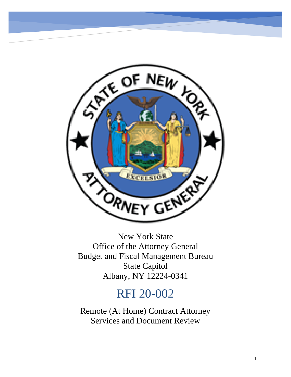

New York State Office of the Attorney General Budget and Fiscal Management Bureau State Capitol Albany, NY 12224-0341

# RFI 20-002

Remote (At Home) Contract Attorney Services and Document Review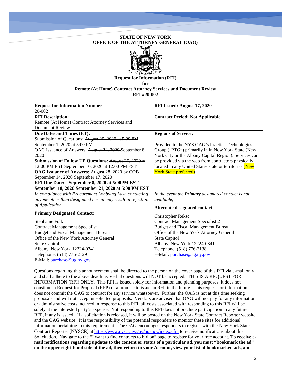# **STATE OF NEW YORK OFFICE OF THE ATTORNEY GENERAL (OAG)**



**Request for Information (RFI) for Remote (At Home) Contract Attorney Services and Document Review RFI #20-002**

| <b>Request for Information Number:</b>                      | RFI Issued: August 17, 2020                               |
|-------------------------------------------------------------|-----------------------------------------------------------|
| 20-002                                                      |                                                           |
| <b>RFI Description:</b>                                     | <b>Contract Period: Not Applicable</b>                    |
| Remote (At Home) Contract Attorney Services and             |                                                           |
| Document Review                                             |                                                           |
| <b>Due Dates and Times (ET):</b>                            | <b>Regions of Service:</b>                                |
| Submission of Questions: August 20, 2020 at 5:00 PM         |                                                           |
| September 1, 2020 at 5:00 PM                                | Provided to the NYS OAG's Practice Technologies           |
| OAG Issuance of Answers: August 24, 2020 September 8,       | Group ("PTG") primarily in in New York State (New         |
| 2020                                                        | York City or the Albany Capital Region). Services can     |
| Submission of Follow UP Questions: August 26, 2020 at       | be provided via the web from contractors physically       |
| 12:00 PM EST-September 10, 2020 at 12:00 PM EST             | located in any United States state or territories (New    |
| OAG Issuance of Answers: August 28, 2020 by COB             | <b>York State preferred)</b>                              |
| September 14, 2020 September 17, 2020                       |                                                           |
| RFI Due Date: September 8, 2020 at 5:00PM EST               |                                                           |
| September 18, 2020 September 21, 2020 at 5:00 PM EST        |                                                           |
| In compliance with Procurement Lobbying Law, contacting     | In the event the <b>Primary</b> designated contact is not |
| anyone other than designated herein may result in rejection | available,                                                |
| of Application.                                             | Alternate designated contact:                             |
| <b>Primary Designated Contact:</b>                          |                                                           |
|                                                             | <b>Christopher Reksc</b>                                  |
| Stephanie Folk                                              | <b>Contract Management Specialist 2</b>                   |
| <b>Contract Management Specialist</b>                       | <b>Budget and Fiscal Management Bureau</b>                |
| <b>Budget and Fiscal Management Bureau</b>                  | Office of the New York Attorney General                   |
| Office of the New York Attorney General                     | <b>State Capitol</b>                                      |
| <b>State Capitol</b>                                        | Albany, New York 12224-0341                               |
| Albany, New York 12224-0341                                 | Telephone: (518) 776-2138                                 |
| Telephone: (518) 776-2129                                   | E-Mail: purchase@ag.ny.gov                                |
| E-Mail: purchase@ag.ny.gov                                  |                                                           |

Questions regarding this announcement shall be directed to the person on the cover page of this RFI via e-mail only and shall adhere to the above deadline. Verbal questions will NOT be accepted. THIS IS A REQUEST FOR INFORMATION (RFI) ONLY. This RFI is issued solely for information and planning purposes, it does not constitute a Request for Proposal (RFP) or a promise to issue an RFP in the future. This request for information does not commit the OAG to contract for any service whatsoever. Further, the OAG is not at this time seeking proposals and will not accept unsolicited proposals. Vendors are advised that OAG will not pay for any information or administrative costs incurred in response to this RFI; all costs associated with responding to this RFI will be solely at the interested party's expense. Not responding to this RFI does not preclude participation in any future RFP, if any is issued. If a solicitation is released, it will be posted on the New York State Contract Reporter website and the OAG website. It is the responsibility of the potential responders to monitor these sites for additional information pertaining to this requirement. The OAG encourages responders to register with the New York State Contract Reporter (NYSCR) a[t https://www.nyscr.ny.gov/agency/index.cfm](https://www.nyscr.ny.gov/agency/index.cfm) to receive notifications about this Solicitation. Navigate to the "I want to find contracts to bid on" page to register for your free account. **To receive email notifications regarding updates to the content or status of a particular ad, you must "bookmark the ad" on the upper right-hand side of the ad, then return to your Account, view your list of bookmarked ads, and**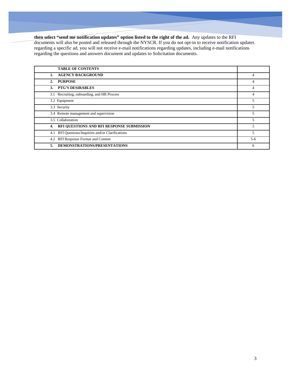# **then select "send me notification updates" option listed to the right of the ad.** Any updates to the RFI

documents will also be posted and released through the NYSCR. If you do not opt-in to receive notification updates regarding a specific ad, you will not receive e-mail notifications regarding updates, including e-mail notifications regarding the questions and answers document and updates to Solicitation documents.

| <b>TABLE OF CONTENTS</b>                          |         |
|---------------------------------------------------|---------|
| <b>AGENCY BACKGROUND</b><br>1.                    | 4       |
| <b>PURPOSE</b><br>2.                              | 4       |
| <b>PTG'S DESIRABLES</b><br>3.                     | 4       |
| 3.1 Recruiting, onboarding, and HR Process        | 4       |
| 3.2 Equipment                                     | 5       |
| 3.3 Security                                      | 5       |
| 3.4 Remote management and supervision             | 5       |
| 3.5 Collaboration                                 | 5       |
| RFI QUESTIONS AND RFI RESPONSE SUBMISSION<br>4.   | 5       |
| 4.1 RFI Questions/Inquiries and/or Clarifications | 5       |
| 4.2 RFI Response Format and Content               | $5 - 6$ |
| DEMONSTRATIONS/PRESENTATIONS<br>5.                | 6       |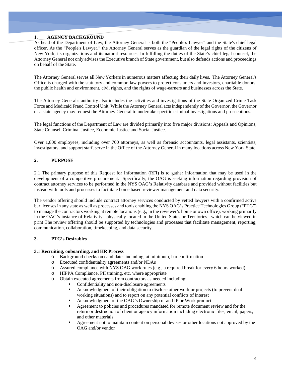## **1. AGENCY BACKGROUND**

As head of the Department of Law, the Attorney General is both the "People's Lawyer" and the State's chief legal officer. As the "People's Lawyer," the Attorney General serves as the guardian of the legal rights of the citizens of New York, its organizations and its natural resources. In fulfilling the duties of the State's chief legal counsel, the Attorney General not only advises the Executive branch of State government, but also defends actions and proceedings on behalf of the State.

The Attorney General serves all New Yorkers in numerous matters affecting their daily lives. The Attorney General's Office is charged with the statutory and common law powers to protect consumers and investors, charitable donors, the public health and environment, civil rights, and the rights of wage-earners and businesses across the State.

The Attorney General's authority also includes the activities and investigations of the State Organized Crime Task Force and Medicaid Fraud Control Unit. While the Attorney General acts independently of the Governor, the Governor or a state agency may request the Attorney General to undertake specific criminal investigations and prosecutions.

The legal functions of the Department of Law are divided primarily into five major divisions: Appeals and Opinions, State Counsel, Criminal Justice, Economic Justice and Social Justice.

Over 1,800 employees, including over 700 attorneys, as well as forensic accountants, legal assistants, scientists, investigators, and support staff, serve in the Office of the Attorney General in many locations across New York State.

# **2. PURPOSE**

2.1 The primary purpose of this Request for Information (RFI) is to gather information that may be used in the development of a competitive procurement. Specifically, the OAG is seeking information regarding provision of contract attorney services to be performed in the NYS OAG's Relativity database and provided without facilities but instead with tools and processes to facilitate home based reviewer management and data security.

The vendor offering should include contract attorney services conducted by vetted lawyers with a confirmed active bar licenses in any state as well as processes and tools enabling the NYS OAG's Practice Technologies Group ("PTG") to manage the contractors working at remote locations (e.g., in the reviewer's home or own office), working primarily in the OAG's instance of Relativity, physically located in the United States or Territories. which can be viewed in print The review offering should be supported by technologies and processes that facilitate management, reporting, communication, collaboration, timekeeping, and data security.

## **3. PTG's Desirables**

## **3.1 Recruiting, onboarding, and HR Process**

- o Background checks on candidates including, at minimum, bar confirmation
- o Executed confidentiality agreements and/or NDAs
- o Assured compliance with NYS OAG work rules (e.g., a required break for every 6 hours worked)
- o HIPPA Compliance, PII training, etc. where appropriate
- o Obtain executed agreements from contractors as needed including:
	- Confidentiality and non-disclosure agreements
	- Acknowledgment of their obligation to disclose other work or projects (to prevent dual working situations) and to report on any potential conflicts of interest
	- Acknowledgment of the OAG's Ownership of and IP or Work product
	- Agreement to policies and procedures mandated for remote document review and for the return or destruction of client or agency information including electronic files, email, papers, and other materials
	- Agreement not to maintain content on personal devises or other locations not approved by the OAG and/or vendor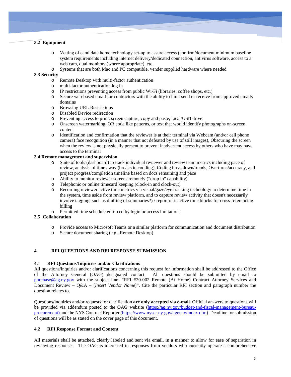# **3.2 Equipment**

- o Vetting of candidate home technology set-up to assure access (confirm/document minimum baseline system requirements including internet delivery/dedicated connection, antivirus software, access to a web cam, dual monitors (where appropriate), etc.
- o Systems that are both Mac and PC compatible, vender supplied hardware where needed

#### **3.3 Security**

- $\circ$  Remote Desktop with multi-factor authentication<br> $\circ$  multi-factor authentication log in
- multi-factor authentication log in
- $\circ$  IP restrictions preventing access from public Wi-Fi (libraries, coffee shops, etc.)<br>  $\circ$  Secure web-based email for contractors with the ability to limit send or receive from
- Secure web-based email for contractors with the ability to limit send or receive from approved emails domains
- o Browsing URL Restrictions
- Disabled Device redirection
- o Preventing access to print, screen capture, copy and paste, local/USB drive
- o Onscreen watermarking, QR code like patterns, or text that would identify photographs on-screen content
- o Identification and confirmation that the reviewer is at their terminal via Webcam (and/or cell phone camera) face recognition (in a manner that not defeated by use of still images), Obscuring the screen when the review is not physically present to prevent inadvertent access by others who have may have access to the terminal

## **3.4 Remote management and supervision**

- o Suite of tools (dashboard) to track individual reviewer and review team metrics including pace of review, analysis of time away (breaks in codding), Coding breakdown/trends, Overturns/accuracy, and project progress/completion timeline based on docs remaining and pace
- o Ability to monitor reviewer screens remotely ("drop in" capability)
- o Telephonic or online timecard keeping (clock-in and clock-out)
- o Recording reviewer active time metrics via visual/gaze/eye tracking technology to determine time in the system, time aside from review platform, and to capture review activity that doesn't necessarily involve tagging, such as drafting of summaries?) / report of inactive time blocks for cross-referencing billing
- o Permitted time schedule enforced by login or access limitations

# **3.5 Collaboration**

- o Provide access to Microsoft Teams or a similar platform for communication and document distribution
- o Secure document sharing (e.g., Remote Desktop)

## **4. RFI QUESTIONS AND RFI RESPONSE SUBMISSION**

## **4.1 RFI Questions/Inquiries and/or Clarifications**

All questions/inquiries and/or clarifications concerning this request for information shall be addressed to the Office of the Attorney General (OAG) designated contact. All questions should be submitted by email to purchase@ag.ny.gov with the subject line: "RFI #20-002 Remote (At Home) Contract Attorney Services and Document Review – Q&A – [*Insert Vendor Name*]". Cite the particular RFI section and paragraph number the question relates to.

Questions/inquiries and/or requests for clarification **are only accepted via e-mail**. Official answers to questions will be provided via addendum posted to the OAG website [\(https://ag.ny.gov/budget-and-fiscal-management-bureau](https://ag.ny.gov/budget-and-fiscal-management-bureau-procurement)[procurement\)](https://ag.ny.gov/budget-and-fiscal-management-bureau-procurement) and the NYS Contract Reporter [\(https://www.nyscr.ny.gov/agency/index.cfm\)](https://www.nyscr.ny.gov/agency/index.cfm). Deadline for submission of questions will be as stated on the cover page of this document.

## **4.2 RFI Response Format and Content**

All materials shall be attached, clearly labeled and sent via email, in a manner to allow for ease of separation in reviewing responses. The OAG is interested in responses from vendors who currently operate a comprehensive